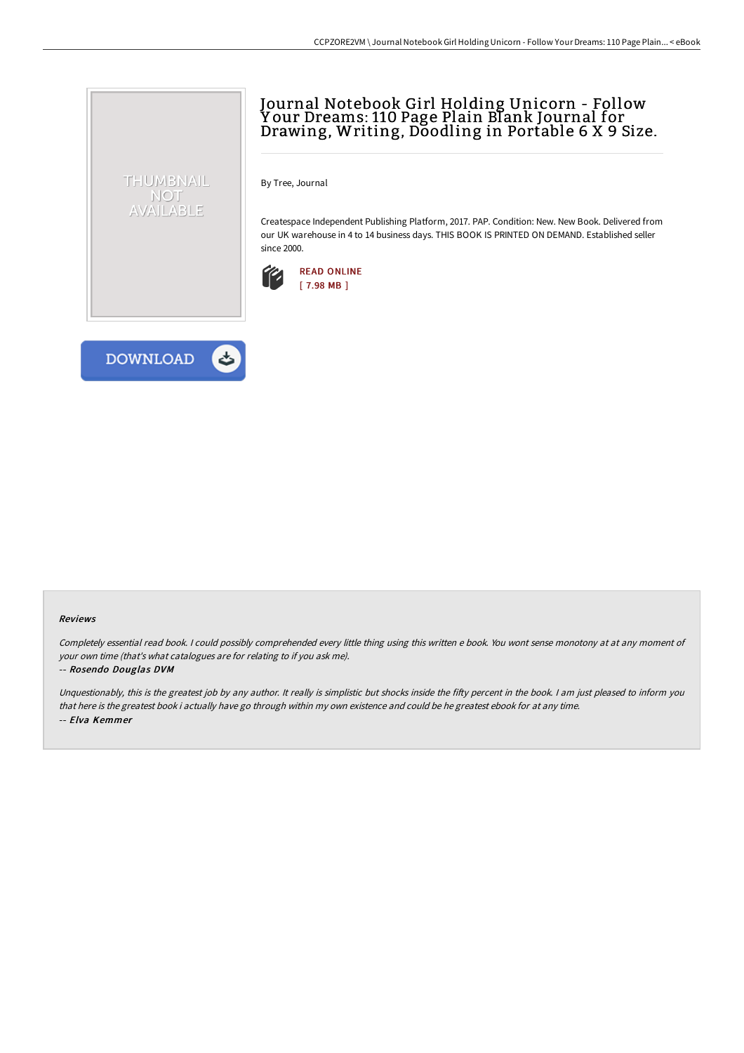## Journal Notebook Girl Holding Unicorn - Follow Y our Dreams: 110 Page Plain Blank Journal for Drawing, Writing, Doodling in Portable 6 X 9 Size.

By Tree, Journal

Createspace Independent Publishing Platform, 2017. PAP. Condition: New. New Book. Delivered from our UK warehouse in 4 to 14 business days. THIS BOOK IS PRINTED ON DEMAND. Established seller since 2000.





THUMBNAIL NOT AVAILABLE

## Reviews

Completely essential read book. <sup>I</sup> could possibly comprehended every little thing using this written <sup>e</sup> book. You wont sense monotony at at any moment of your own time (that's what catalogues are for relating to if you ask me).

## -- Rosendo Douglas DVM

Unquestionably, this is the greatest job by any author. It really is simplistic but shocks inside the fifty percent in the book. I am just pleased to inform you that here is the greatest book i actually have go through within my own existence and could be he greatest ebook for at any time. -- Elva Kemmer